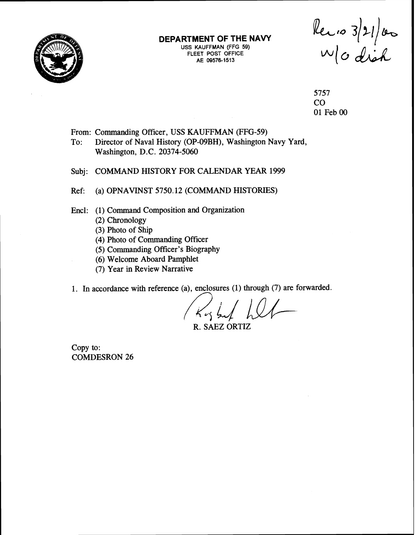

#### **DEPARTMENT OF THE NAVY USS KAUFFMAN (FFG 59) FLEET POST OFFICE**  AE 09576-1513

Recio 3/21/00

5757 CO 01 Feb 00

From: Commanding Officer, USS KAUFFMAN (FFG-59)

To: Director of Naval History (OP-09BH), Washington Navy Yard, Washington, D.C. 20374-5060

Subj: COMMAND HISTORY FOR CALENDAR YEAR 1999

Ref: (a) OPNAVINST 5750.12 (COMMAND HISTORIES)

Encl: (1) Command Composition and Organization

- (2) Chronology
	- (3) Photo of Ship
	- (4) Photo of Commanding Officer
	- (5) Commanding Officer's Biography
	- (6) Welcome Aboard Pamphlet
	- (7) Year in Review Narrative
- 1. In accordance with reference (a), enclosures (1) through (7) are forwarded.

R. SAEZ ORTIZ

Copy to: COMDESRON 26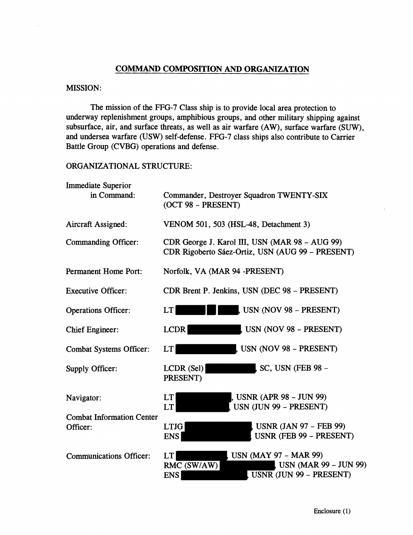# **COMMAND COMPOSITION AND ORGANIZATION**

#### MISSION:

÷,

The mission of the FFG-7 Class ship is to provide local area protection to underway replenishment groups, amphibious groups, and other military shipping against subsurface, air, and surface threats, as well as air warfare (AW), surface warfare (SUW), and undersea warfare (USW) self-defense. FFG-7 class ships also contribute to Carrier Battle Group (CVBG) operations and defense.

#### ORGANIZATIONAL STRUCTURE:

| <b>Immediate Superior</b><br>in Command:     | Commander, Destroyer Squadron TWENTY-SIX<br>(OCT 98 - PRESENT)                                                             |  |
|----------------------------------------------|----------------------------------------------------------------------------------------------------------------------------|--|
| Aircraft Assigned:                           | VENOM 501, 503 (HSL-48, Detachment 3)                                                                                      |  |
| <b>Commanding Officer:</b>                   | CDR George J. Karol III, USN (MAR 98 - AUG 99)<br>CDR Rigoberto Sáez-Ortiz, USN (AUG 99 – PRESENT)                         |  |
| <b>Permanent Home Port:</b>                  | Norfolk, VA (MAR 94 -PRESENT)                                                                                              |  |
| <b>Executive Officer:</b>                    | CDR Brent P. Jenkins, USN (DEC 98 - PRESENT)                                                                               |  |
| <b>Operations Officer:</b>                   | $\mu$ USN (NOV 98 – PRESENT)<br>LT                                                                                         |  |
| <b>Chief Engineer:</b>                       | USN (NOV 98 - PRESENT)<br>LCDR                                                                                             |  |
| <b>Combat Systems Officer:</b>               | USN (NOV 98 - PRESENT)<br>LT                                                                                               |  |
| Supply Officer:                              | SC, USN (FEB 98 -<br>LCDR(Sel)<br>PRESENT)                                                                                 |  |
| Navigator:                                   | , USNR (APR 98 – JUN 99)<br><b>LT</b><br>USN (JUN 99 - PRESENT)<br>LT                                                      |  |
| <b>Combat Information Center</b><br>Officer: | <b>USNR (JAN 97 – FEB 99)</b><br><b>LTJG</b><br>USNR (FEB 99 - PRESENT)<br><b>ENS</b>                                      |  |
| <b>Communications Officer:</b>               | <b>USN (MAY 97 - MAR 99)</b><br>LT<br><b>USN (MAR 99 - JUN 99)</b><br>RMC (SW/AW)<br>USNR (JUN 99 - PRESENT)<br><b>ENS</b> |  |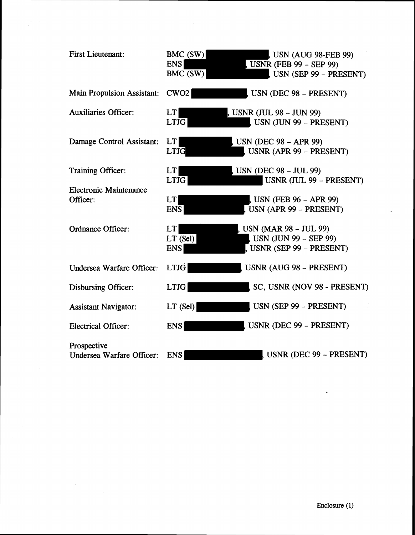| <b>First Lieutenant:</b>                        | BMC (SW)<br><b>ENS</b><br>BMC (SW) | <b>USN (AUG 98-FEB 99)</b><br>$S$ USNR (FEB 99 – SEP 99)<br>USN (SEP 99 - PRESENT) |
|-------------------------------------------------|------------------------------------|------------------------------------------------------------------------------------|
| <b>Main Propulsion Assistant:</b>               | CWO <sub>2</sub>                   | $J$ USN (DEC 98 - PRESENT)                                                         |
| <b>Auxiliaries Officer:</b>                     | LT<br><b>LTJG</b>                  | , USNR (JUL 98 – JUN 99)<br>USN (JUN 99 - PRESENT)                                 |
| Damage Control Assistant:                       | LT<br><b>LTJG</b>                  | $S$ USN (DEC 98 – APR 99)<br>USNR (APR 99 - PRESENT)                               |
| <b>Training Officer:</b>                        | LT<br><b>LTJG</b>                  | $S$ USN (DEC 98 – JUL 99)<br>USNR (JUL 99 - PRESENT)                               |
| <b>Electronic Maintenance</b><br>Officer:       | <b>LT</b><br><b>ENS</b>            | <b>USN (FEB 96 - APR 99)</b><br>USN (APR 99 – PRESENT)                             |
| <b>Ordnance Officer:</b>                        | LT<br>$LT$ (Sel)<br><b>ENS</b>     | USN (MAR 98 – JUL 99)<br><b>USN (JUN 99 - SEP 99)</b><br>USNR (SEP 99 - PRESENT)   |
| Undersea Warfare Officer:                       | <b>LTJG</b>                        | USNR (AUG 98 - PRESENT)                                                            |
| <b>Disbursing Officer:</b>                      | <b>LTJG</b>                        | SC, USNR (NOV 98 - PRESENT)                                                        |
| <b>Assistant Navigator:</b>                     | $LT$ (Sel)                         | USN (SEP 99 – PRESENT)                                                             |
| <b>Electrical Officer:</b>                      | <b>ENS</b>                         | USNR (DEC 99 - PRESENT)                                                            |
| Prospective<br><b>Undersea Warfare Officer:</b> | <b>ENS</b>                         | USNR (DEC 99 - PRESENT)                                                            |

 $\mathcal{F}(\mathbf{x}) = \mathcal{F}(\mathbf{x})$ 

 $\overline{a}$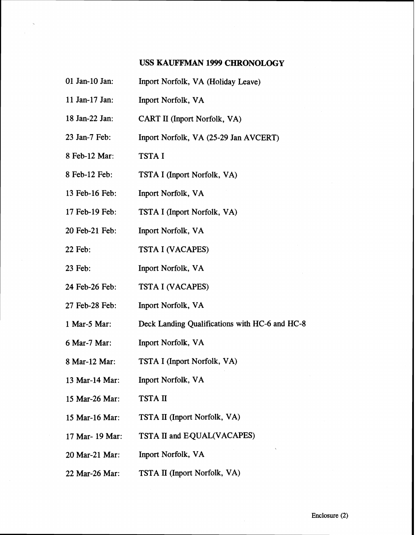### **USS KAWFFMAN** 1999 CHRONOLOGY

- 01 Jan-10 Jan: Inport Norfolk, VA (Holiday Leave)
- 11 Jan-17 Jan: Inport Norfolk, VA
- 18 Jan-22 Jan: CART I1 (Inport Norfolk, VA)
- 23 Jan-7 Feb: Inport Norfolk, VA (25-29 Jan AVCERT)
- 8 Feb-12 Mar: TSTA I
- 8 Feb-12 Feb: TSTA I (Inport Norfolk, VA)
- 13 Feb-16 Feb: Inport Norfolk, VA
- 17 Feb-19 Feb: TSTA I (Inport Norfolk, VA)
- 20 Feb-21 Feb: Inport Norfolk, VA
- 22 Feb: TSTA I (VACAPES)
- 23 Feb: Inport Norfolk, VA
- 24 Feb-26 Feb: TSTA I (VACAPES)
- 27 Feb-28 Feb: Inport Norfolk, VA
- 1 Mar-5 Mar: Deck Landing Qualifications with HC-6 and HC-8
- 6 Mar-7 Mar: Inport Norfolk, VA
- 8 Mar-12 Mar: TSTA I (Inport Norfolk, VA)
- 13 Mar-14 Mar: Inport Norfolk, VA
- 15 Mar-26 Mar: TSTA **m**
- 15 Mar-16 Mar: TSTA **I1** (Inport Norfolk, VA)
- 17 Mar- 19 Mar: TSTA **II** and EQUAL(VACAPES)
- 20 Mar-21 Mar: Inport Norfolk, VA
- 22 Mar-26 Mar: TSTA **I1** (Import Norfolk, VA)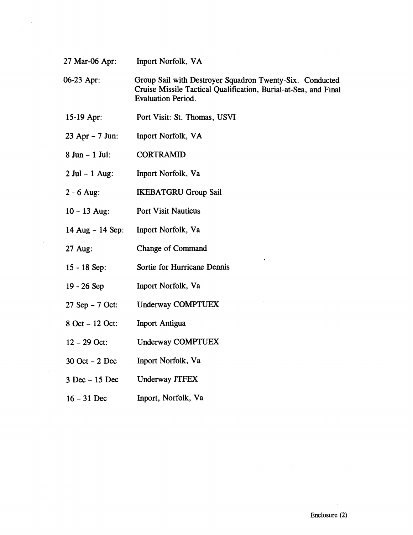**27** Mar-06 Apr: Inport Norfolk, VA

**06-23** Apr : Group Sail with Destroyer Squadron Twenty-Six. Conducted Cruise Missile Tactical Qualification, Burial-at-Sea, and Final Evaluation Period.

- **15-19** Apr: Port Visit: St. Thomas, USVI
- **<sup>23</sup>**Apr **<sup>7</sup>**Jun: Inport Norfolk, VA
- $8$  Jun  $1$  Jul: CORTRAMID
- **<sup>2</sup>**Jul **1** Aug: Inport Norfolk, Va
- $2 6$  Aug: IKEBATGRU Group Sail
- **10 13** Aug: Port Visit Nauticus
- **<sup>14</sup>**Aug **<sup>14</sup>**Sep: Inport Norfolk, Va
- **27** Aug: Change of Command
- **15 18** Sep: Sortie for Hurricane Dennis
- **19 26** Sep Inport Norfolk, Va
- **<sup>27</sup>**Sep **<sup>7</sup>**Oct: Underway COMPTUEX
- **<sup>8</sup>**Oct **<sup>12</sup>**Oct: Inport Antigua
- **<sup>12</sup> <sup>29</sup>**Oct: Underway COMPTUEX
- **<sup>30</sup>**Oct **<sup>2</sup>**Dec Inport Norfolk, Va
- **<sup>3</sup>**Dec **<sup>15</sup>**Dec Underway JTFEX
- **<sup>16</sup> <sup>31</sup>**Dec Inport, Norfolk, Va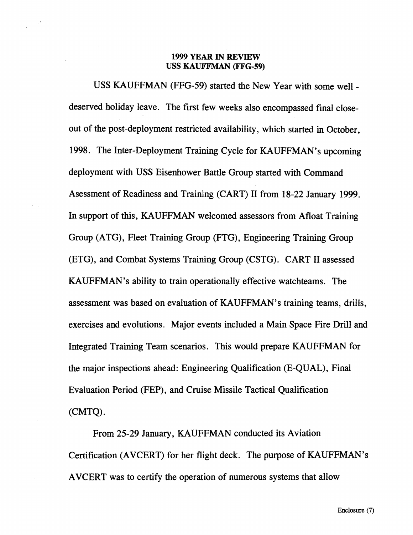## **1999 YEAR IN REVIEW USS KAUFFMAN (FFG-59)**

USS KAUFFMAN (FFG-59) started the New Year with some well deserved holiday leave. The first few weeks also encompassed final closeout of the post-deployment restricted availability, which started in October, 1998. The Inter-Deployment Training Cycle for KAUFFMAN's upcoming deployment with USS Eisenhower Battle Group started with Command Asessment of Readiness and Training (CART) I1 from 18-22 January 1999. In support of this, KAUFFMAN welcomed assessors from Afloat Training Group (ATG), Fleet Training Group (FTG), Engineering Training Group (ETG), and Combat Systems Training Group (CSTG). CART I1 assessed KAUFFMAN's ability to train operationally effective watchteams. The assessment was based on evaluation of KAUFFMAN's training teams, drills, exercises and evolutions. Major events included a Main Space Fire Drill and Integrated Training Team scenarios. This would prepare KAUFFMAN for the major inspections ahead: Engineering Qualification (E-QUAL), Final Evaluation Period (FEP), and Cruise Missile Tactical Qualification (CMTQ)

From 25-29 January, KAUFFMAN conducted its Aviation Certification (AVCERT) for her flight deck. The purpose of KAUFFMAN's AVCERT was to certify the operation of numerous systems that allow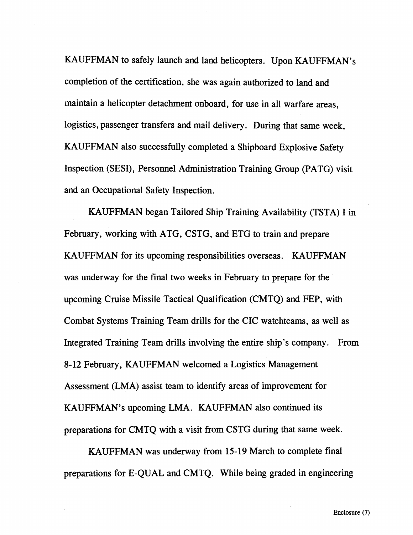KAUFFMAN to safely launch and land helicopters. Upon KAUFFMAN's completion of the certification, she was again authorized to land and maintain a helicopter detachment onboard, for use in all warfare areas, logistics, passenger transfers and mail delivery. During that same week, KAUFFMAN also successfully completed a Shipboard Explosive Safety Inspection (SESI), Personnel Administration Training Group (PATG) visit and an Occupational Safety Inspection.

KAUFFMAN began Tailored Ship Training Availability (TSTA) I in February, working with ATG, CSTG, and ETG to train and prepare KAUFFMAN for its upcoming responsibilities overseas. KAUFFMAN was underway for the final two weeks in February to prepare for the upcoming Cruise Missile Tactical Qualification (CMTQ) and FEP, with Combat Systems Training Team drills for the CIC watchteams, as well as Integrated Training Team drills involving the entire ship's company. From 8-12 February, KAUFFMAN welcomed a Logistics Management Assessment (LMA) assist team to identify areas of improvement for KAUFFMAN's upcoming LMA. KAUFFMAN also continued its preparations for CMTQ with a visit from CSTG during that same week.

KAUFFMAN was underway from 15-19 March to complete final preparations for E-QUAL and CMTQ. While being graded in engineering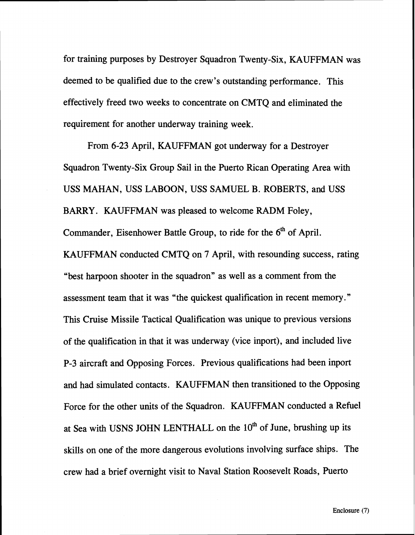for training purposes by Destroyer Squadron Twenty-Six, KAUFFMAN was deemed to be qualified due to the crew's outstanding performance. This effectively freed two weeks to concentrate on CMTQ and eliminated the requirement for another underway training week.

From 6-23 April, KAUFFMAN got underway for a Destroyer Squadron Twenty-Six Group Sail in the Puerto Rican Operating Area with USS MAHAN, USS LABOON, USS SAMUEL B. ROBERTS, and USS BARRY. KAUFFMAN was pleased to welcome RADM Foley, Commander, Eisenhower Battle Group, to ride for the 6<sup>th</sup> of April. KAUFFMAN conducted CMTQ on 7 April, with resounding success, rating "best harpoon shooter in the squadron" as well as a comment from the assessment team that it was "the quickest qualification in recent memory." This Cruise Missile Tactical Qualification was unique to previous versions of the qualification in that it was underway (vice inport), and included live P-3 aircraft and Opposing Forces. Previous qualifications had been inport and had simulated contacts. KAUFFMAN then transitioned to the Opposing Force for the other units of the Squadron. KAUFFMAN conducted a Refuel at Sea with USNS JOHN LENTHALL on the 10<sup>th</sup> of June, brushing up its skills on one of the more dangerous evolutions involving surface ships. The crew had a brief overnight visit to Naval Station Roosevelt Roads, Puerto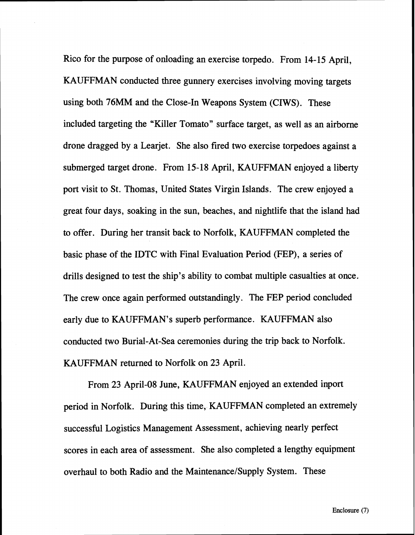Rico for the purpose of onloading an exercise torpedo. From 14- 15 April, KAUFFMAN conducted three gunnery exercises involving moving targets using both 76MM and the Close-In Weapons System (CIWS). These included targeting the "Killer Tomato" surface target, as well as an airborne drone dragged by a Learjet. She also fired two exercise torpedoes against a submerged target drone. From 15-18 April, KAUFFMAN enjoyed a liberty port visit to St. Thomas, United States Virgin Islands. The crew enjoyed a great four days, soaking in the sun, beaches, and nightlife that the island had to offer. During her transit back to Norfolk, KAUFFMAN completed the basic phase of the IDTC with Final Evaluation Period (FEP), a series of drills designed to test the ship's ability to combat multiple casualties at once. The crew once again performed outstandingly. The FEP period concluded early due to KAUFFMAN's superb performance. KAUFFMAN also conducted two Burial-At-Sea ceremonies during the trip back to Norfolk. KAUFFMAN returned to Norfolk on 23 April.

From 23 April-08 June, KAUFFMAN enjoyed an extended inport period in Norfolk. During this time, KAUFFMAN completed an extremely successful Logistics Management Assessment, achieving nearly perfect scores in each area of assessment. She also completed a lengthy equipment overhaul to both Radio and the Maintenance/Supply System. These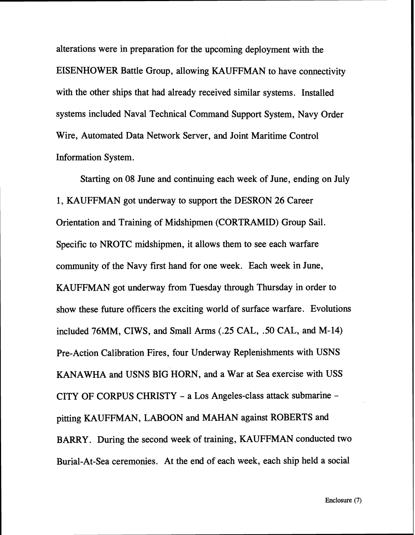alterations were in preparation for the upcoming deployment with the EISENHOWER Battle Group, allowing KAUFFMAN to have connectivity with the other ships that had already received similar systems. Installed systems included Naval Technical Command Support System, Navy Order Wire, Automated Data Network Server, and Joint Maritime Control Information System.

Starting on 08 June and continuing each week of June, ending on July 1, KAUFFMAN got underway to support the DESRON 26 Career Orientation and Training of Midshipmen (CORTRAMID) Group Sail. Specific to NROTC midshipmen, it allows them to see each warfare community of the Navy first hand for one week. Each week in June, KAUFFMAN got underway from Tuesday through Thursday in order to show these future officers the exciting world of surface warfare. Evolutions included 76MM, CIWS, and Small Arms **(.25** CAL, **.50** CAL, and M-14) Pre-Action Calibration Fires, four Underway Replenishments with USNS KANAWHA and USNS BIG HORN, and a War at Sea exercise with USS CITY OF CORPUS CHRISTY - a Los Angeles-class attack submarine pitting KAUFFMAN, LABOON and MAHAN against ROBERTS and BARRY. During the second week of training, KAUFFMAN conducted two Burial-At-Sea ceremonies. At the end of each week, each ship held a social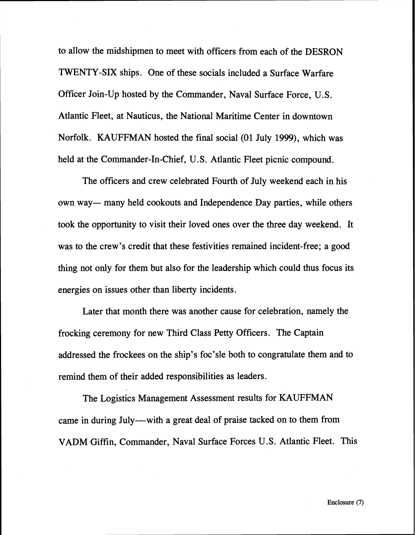to allow the midshipmen to meet with officers from each of the DESRON TWENTY-SIX ships. One of these socials included a Surface Warfare Officer Join-Up hosted by the Commander, Naval Surface Force, U.S. Atlantic Fleet, at Nauticus, the National Maritime Center in downtown Norfolk. KAUFFMAN hosted the final social (01 July 1999), which was held at the Commander-In-Chief, U.S. Atlantic Fleet picnic compound.

The officers and crew celebrated Fourth of July weekend each in his own way— many held cookouts and Independence Day parties, while others took the opportunity to visit their loved ones over the three day weekend. It was to the crew's credit that these festivities remained incident-free; a good thing not only for them but also for the leadership which could thus focus its energies on issues other than liberty incidents.

Later that month there was another cause for celebration, namely the frocking ceremony for new Third Class Petty Officers. The Captain addressed the frockees on the ship's foc'sle both to congratulate them and to remind them of their added responsibilities as leaders.

The Logistics Management Assessment results for KAUFFMAN came in during July---with a great deal of praise tacked on to them from VADM Giffin, Commander, Naval Surface Forces U.S. Atlantic Fleet. This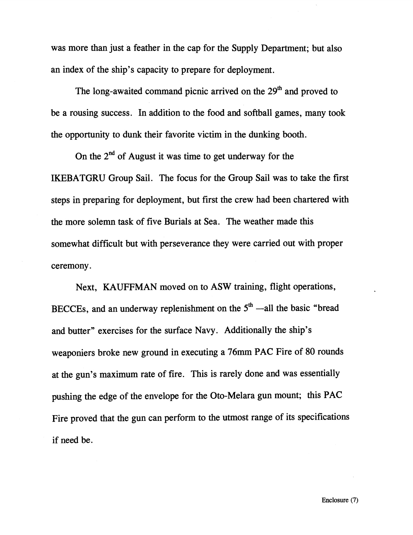was more than just a feather in the cap for the Supply Department; but also an index of the ship's capacity to prepare for deployment.

The long-awaited command picnic arrived on the  $29<sup>th</sup>$  and proved to be a rousing success. In addition to the food and softball games, many took the opportunity to dunk their favorite victim in the dunking booth.

On the **2nd** of August it was time to get underway for the IKEBATGRU Group Sail. The focus for the Group Sail was to take the first steps in preparing for deployment, but first the crew had been chartered with the more solemn task of five Burials at Sea. The weather made this somewhat difficult but with perseverance they were carried out with proper ceremony.

Next, KAUFFMAN moved on to ASW training, flight operations, BECCEs, and an underway replenishment on the  $5<sup>th</sup>$  -all the basic "bread" and butter" exercises for the surface Navy. Additionally the ship's weaponiers broke new ground in executing a 76mm PAC Fire of 80 rounds at the gun's maximum rate of fire. This is rarely done and was essentially pushing the edge of the envelope for the Oto-Melara gun mount; this PAC Fire proved that the gun can perform to the utmost range of its specifications if need be.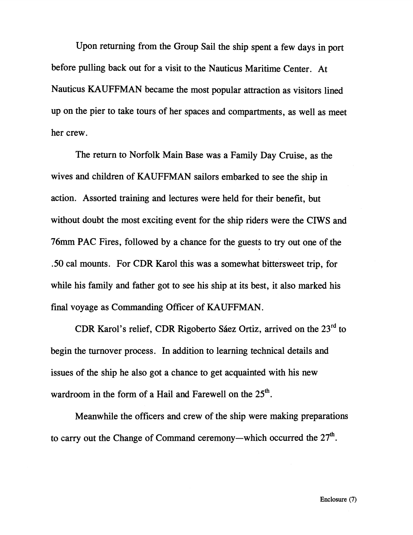Upon returning from the Group Sail the ship spent a few days in port before pulling back out for a visit to the Nauticus Maritime Center. At Nauticus KAUFFMAN became the most popular attraction as visitors lined up on the pier to take tours of her spaces and compartments, as well as meet her crew.

The return to Norfolk Main Base was a Family Day Cruise, as the wives and children of KAUFFMAN sailors embarked to see the ship in action. Assorted training and lectures were held for their benefit, but without doubt the most exciting event for the ship riders were the CIWS and **76mm PAC Fires, followed by a chance for the guests to try out one of the .50** cal mounts. For CDR Karol this was a somewhat bittersweet trip, for while his family and father got to see his ship at its best, it also marked his final voyage as Commanding Officer of KAUFFMAN.

CDR Karol's relief, CDR Rigoberto Sáez Ortiz, arrived on the 23<sup>rd</sup> to begin the turnover process. In addition to learning technical details and issues of the ship he also got a chance to get acquainted with his new wardroom in the form of a Hail and Farewell on the 25<sup>th</sup>.

Meanwhile the officers and crew of the ship were making preparations to carry out the Change of Command ceremony—which occurred the  $27<sup>th</sup>$ .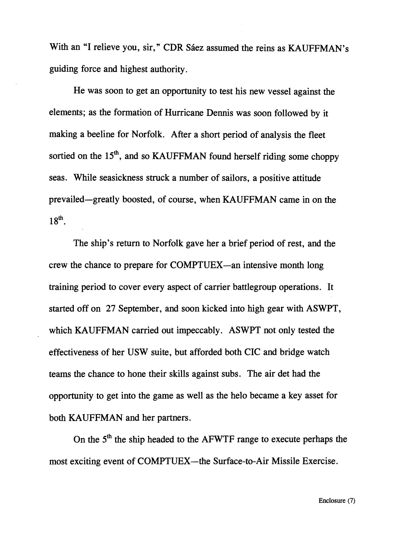With an "I relieve you, sir," CDR Sáez assumed the reins as KAUFFMAN's guiding force and highest authority.

He was soon to get an opportunity to test his new vessel against the elements; as the formation of Hurricane Dennis was soon followed by it making a beeline for Norfolk. After a short period of analysis the fleet sortied on the 15<sup>th</sup>, and so KAUFFMAN found herself riding some choppy seas. While seasickness struck a number of sailors, a positive attitude prevailed-greatly boosted, of course, when KAUFFMAN came in on the  $18<sup>th</sup>$ .

The ship's return to Norfolk gave her a brief period of rest, and the crew the chance to prepare for COMPTUEX-an intensive month long training period to cover every aspect of carrier battlegroup operations. It started off on **27** September, and soon kicked into high gear with ASWPT, which KAUFFMAN carried out impeccably. ASWPT not only tested the effectiveness of her USW suite, but afforded both CIC and bridge watch teams the chance to hone their skills against subs. The air det had the opportunity to get into the game as well as the helo became a key asset for both KAUFFMAN and her partners.

On the  $5<sup>th</sup>$  the ship headed to the AFWTF range to execute perhaps the most exciting event of COMPTUEX—the Surface-to-Air Missile Exercise.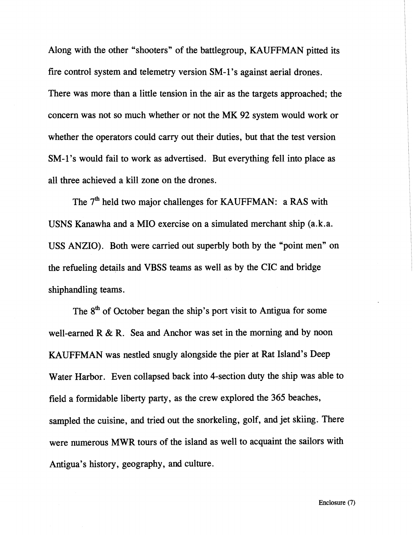Along with the other "shooters" of the battlegroup, KAUFFMAN pitted its fire control system and telemetry version SM-1 's against aerial drones. There was more than a little tension in the air as the targets approached; the concern was not so much whether or not the MK **92** system would work or whether the operators could carry out their duties, but that the test version SM-1's would fail to work as advertised. But everything fell into place as all three achieved a kill zone on the drones.

The 7<sup>th</sup> held two major challenges for KAUFFMAN: a RAS with USNS Kanawha and a MI0 exercise on a simulated merchant ship (a.k.a. USS ANZIO). Both were carried out superbly both by the "point men" on the refueling details and VBSS teams as well as by the CIC and bridge shiphandling teams.

The  $8<sup>th</sup>$  of October began the ship's port visit to Antigua for some well-earned R & R. Sea and Anchor was set in the morning and by noon KAUFFMAN was nestled snugly alongside the pier at Rat Island's Deep Water Harbor. Even collapsed back into 4-section duty the ship was able to field a formidable liberty party, as the crew explored the 365 beaches, sampled the cuisine, and tried out the snorkeling, golf, and jet skiing. There were numerous MWR tours of the island as well to acquaint the sailors with Antigua's history, geography, and culture.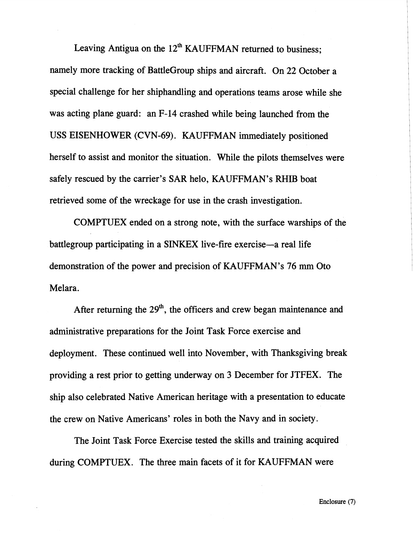Leaving Antigua on the  $12<sup>th</sup>$  KAUFFMAN returned to business: namely more tracking of BattleGroup ships and aircraft. On 22 October a special challenge for her shiphandling and operations teams arose while she was acting plane guard: an F-14 crashed while being launched from the USS EISENHOWER (CVN-69). KAUFFMAN immediately positioned herself to assist and monitor the situation. While the pilots themselves were safely rescued by the carrier's SAR helo, KAUFFMAN's RHIB boat retrieved some of the wreckage for use in the crash investigation.

COMPTUEX ended on a strong note, with the surface warships of the battlegroup participating in a SINKEX live-fire exercise—a real life demonstration of the power and precision of KAUFFMAN's 76 mm Oto Melara.

After returning the **29'h,** the officers and crew began maintenance and administrative preparations for the Joint Task Force exercise and deployment. These continued well into November, with Thanksgiving break providing a rest prior to getting underway on 3 December for JTFEX. The ship also celebrated Native American heritage with a presentation to educate the crew on Native Americans' roles in both the Navy and in society.

The Joint Task Force Exercise tested the skills and training acquired during COMPTUEX. The three main facets of it for KAUFFMAN were